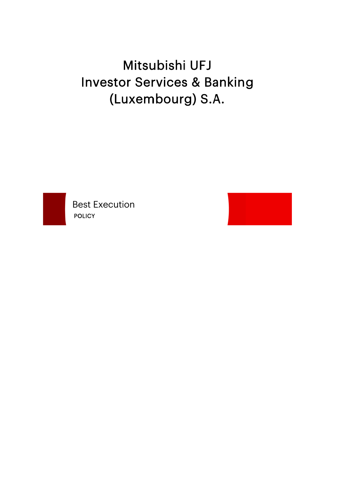# Mitsubishi UFJ **Investor Services & Banking** (Luxembourg) S.A.



**Best Execution POLICY** 

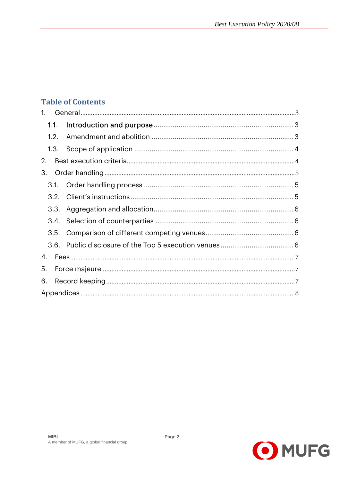#### **Table of Contents**

| $\mathbf{1}$ . |  |  |
|----------------|--|--|
| 1.1.           |  |  |
| 1.2.           |  |  |
| 1.3.           |  |  |
| 2.             |  |  |
| 3.             |  |  |
| 3.1.           |  |  |
| 3.2.           |  |  |
| 3.3.           |  |  |
|                |  |  |
| 3.5.           |  |  |
|                |  |  |
| 4.             |  |  |
| 5.             |  |  |
| 6.             |  |  |
|                |  |  |

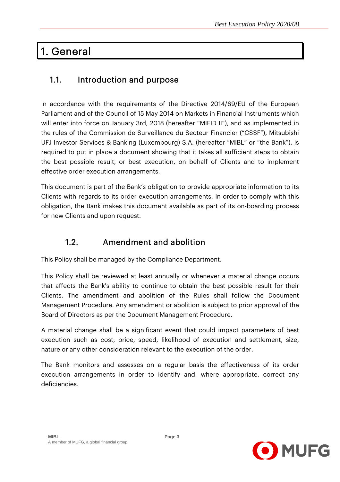## 1. General

### 1.1. Introduction and purpose

In accordance with the requirements of the Directive 2014/69/EU of the European Parliament and of the Council of 15 May 2014 on Markets in Financial Instruments which will enter into force on January 3rd, 2018 (hereafter "MIFID II"), and as implemented in the rules of the Commission de Surveillance du Secteur Financier ("CSSF"), Mitsubishi UFJ Investor Services & Banking (Luxembourg) S.A. (hereafter "MIBL" or "the Bank"), is required to put in place a document showing that it takes all sufficient steps to obtain the best possible result, or best execution, on behalf of Clients and to implement effective order execution arrangements.

This document is part of the Bank's obligation to provide appropriate information to its Clients with regards to its order execution arrangements. In order to comply with this obligation, the Bank makes this document available as part of its on-boarding process for new Clients and upon request.

### 1.2. Amendment and abolition

This Policy shall be managed by the Compliance Department.

This Policy shall be reviewed at least annually or whenever a material change occurs that affects the Bank's ability to continue to obtain the best possible result for their Clients. The amendment and abolition of the Rules shall follow the Document Management Procedure. Any amendment or abolition is subject to prior approval of the Board of Directors as per the Document Management Procedure.

A material change shall be a significant event that could impact parameters of best execution such as cost, price, speed, likelihood of execution and settlement, size, nature or any other consideration relevant to the execution of the order.

The Bank monitors and assesses on a regular basis the effectiveness of its order execution arrangements in order to identify and, where appropriate, correct any deficiencies.

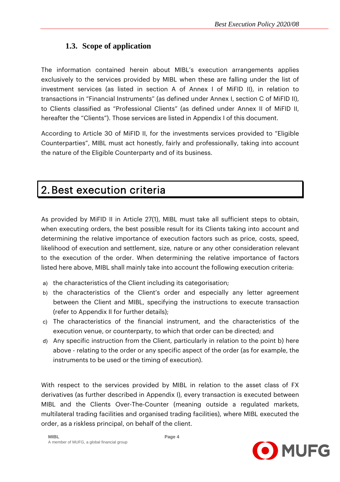#### **1.3. Scope of application**

The information contained herein about MIBL's execution arrangements applies exclusively to the services provided by MIBL when these are falling under the list of investment services (as listed in section A of Annex I of MiFID II), in relation to transactions in "Financial Instruments" (as defined under Annex I, section C of MiFID II), to Clients classified as "Professional Clients" (as defined under Annex II of MiFID II, hereafter the "Clients"). Those services are listed in Appendix I of this document.

According to Article 30 of MiFID II, for the investments services provided to "Eligible Counterparties", MIBL must act honestly, fairly and professionally, taking into account the nature of the Eligible Counterparty and of its business.

# 2.Best execution criteria

As provided by MiFID II in Article 27(1), MIBL must take all sufficient steps to obtain, when executing orders, the best possible result for its Clients taking into account and determining the relative importance of execution factors such as price, costs, speed, likelihood of execution and settlement, size, nature or any other consideration relevant to the execution of the order. When determining the relative importance of factors listed here above, MIBL shall mainly take into account the following execution criteria:

- a) the characteristics of the Client including its categorisation;
- b) the characteristics of the Client's order and especially any letter agreement between the Client and MIBL, specifying the instructions to execute transaction (refer to Appendix II for further details);
- c) The characteristics of the financial instrument, and the characteristics of the execution venue, or counterparty, to which that order can be directed; and
- d) Any specific instruction from the Client, particularly in relation to the point b) here above - relating to the order or any specific aspect of the order (as for example, the instruments to be used or the timing of execution).

With respect to the services provided by MIBL in relation to the asset class of FX derivatives (as further described in Appendix I), every transaction is executed between MIBL and the Clients Over-The-Counter (meaning outside a regulated markets, multilateral trading facilities and organised trading facilities), where MIBL executed the order, as a riskless principal, on behalf of the client.

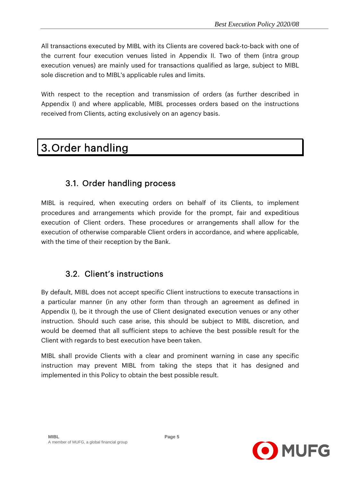All transactions executed by MIBL with its Clients are covered back-to-back with one of the current four execution venues listed in Appendix II. Two of them (intra group execution venues) are mainly used for transactions qualified as large, subject to MIBL sole discretion and to MIBL's applicable rules and limits.

With respect to the reception and transmission of orders (as further described in Appendix I) and where applicable, MIBL processes orders based on the instructions received from Clients, acting exclusively on an agency basis.

# 3.Order handling

#### 3.1. Order handling process

MIBL is required, when executing orders on behalf of its Clients, to implement procedures and arrangements which provide for the prompt, fair and expeditious execution of Client orders. These procedures or arrangements shall allow for the execution of otherwise comparable Client orders in accordance, and where applicable, with the time of their reception by the Bank.

#### 3.2. Client's instructions

By default, MIBL does not accept specific Client instructions to execute transactions in a particular manner (in any other form than through an agreement as defined in Appendix I), be it through the use of Client designated execution venues or any other instruction. Should such case arise, this should be subject to MIBL discretion, and would be deemed that all sufficient steps to achieve the best possible result for the Client with regards to best execution have been taken.

MIBL shall provide Clients with a clear and prominent warning in case any specific instruction may prevent MIBL from taking the steps that it has designed and implemented in this Policy to obtain the best possible result.

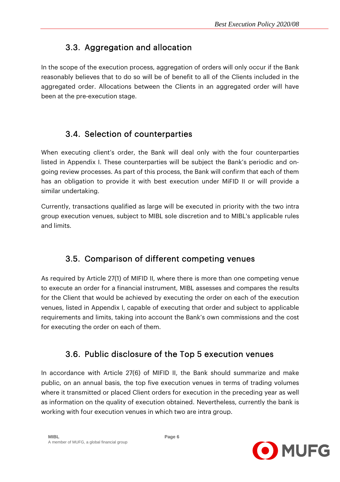### 3.3. Aggregation and allocation

In the scope of the execution process, aggregation of orders will only occur if the Bank reasonably believes that to do so will be of benefit to all of the Clients included in the aggregated order. Allocations between the Clients in an aggregated order will have been at the pre-execution stage.

#### 3.4. Selection of counterparties

When executing client's order, the Bank will deal only with the four counterparties listed in Appendix I. These counterparties will be subject the Bank's periodic and ongoing review processes. As part of this process, the Bank will confirm that each of them has an obligation to provide it with best execution under MiFID II or will provide a similar undertaking.

Currently, transactions qualified as large will be executed in priority with the two intra group execution venues, subject to MIBL sole discretion and to MIBL's applicable rules and limits.

### 3.5. Comparison of different competing venues

As required by Article 27(1) of MIFID II, where there is more than one competing venue to execute an order for a financial instrument, MIBL assesses and compares the results for the Client that would be achieved by executing the order on each of the execution venues, listed in Appendix I, capable of executing that order and subject to applicable requirements and limits, taking into account the Bank's own commissions and the cost for executing the order on each of them.

#### 3.6. Public disclosure of the Top 5 execution venues

In accordance with Article 27(6) of MIFID II, the Bank should summarize and make public, on an annual basis, the top five execution venues in terms of trading volumes where it transmitted or placed Client orders for execution in the preceding year as well as information on the quality of execution obtained. Nevertheless, currently the bank is working with four execution venues in which two are intra group.

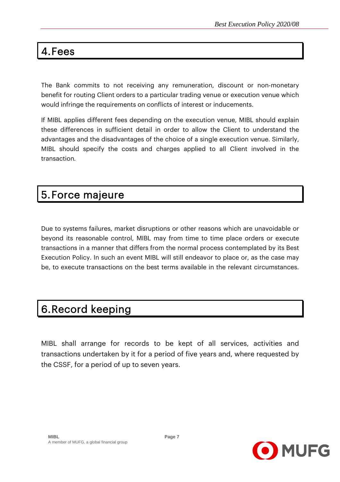# 4.Fees

The Bank commits to not receiving any remuneration, discount or non-monetary benefit for routing Client orders to a particular trading venue or execution venue which would infringe the requirements on conflicts of interest or inducements.

If MIBL applies different fees depending on the execution venue, MIBL should explain these differences in sufficient detail in order to allow the Client to understand the advantages and the disadvantages of the choice of a single execution venue. Similarly, MIBL should specify the costs and charges applied to all Client involved in the transaction*.* 

## 5.Force majeure

Due to systems failures, market disruptions or other reasons which are unavoidable or beyond its reasonable control, MIBL may from time to time place orders or execute transactions in a manner that differs from the normal process contemplated by its Best Execution Policy. In such an event MIBL will still endeavor to place or, as the case may be, to execute transactions on the best terms available in the relevant circumstances.

# 6.Record keeping

MIBL shall arrange for records to be kept of all services, activities and transactions undertaken by it for a period of five years and, where requested by the CSSF, for a period of up to seven years.

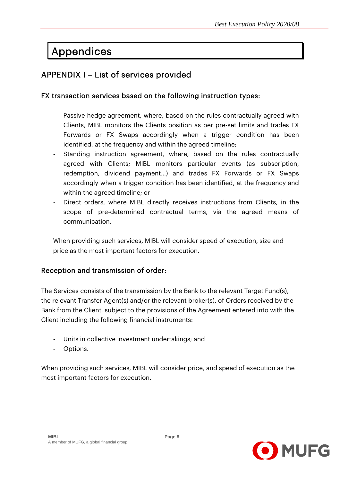# Appendices

### APPENDIX I – List of services provided

#### FX transaction services based on the following instruction types:

- Passive hedge agreement, where, based on the rules contractually agreed with Clients, MIBL monitors the Clients position as per pre-set limits and trades FX Forwards or FX Swaps accordingly when a trigger condition has been identified, at the frequency and within the agreed timeline;
- Standing instruction agreement, where, based on the rules contractually agreed with Clients; MIBL monitors particular events (as subscription, redemption, dividend payment…) and trades FX Forwards or FX Swaps accordingly when a trigger condition has been identified, at the frequency and within the agreed timeline; or
- Direct orders, where MIBL directly receives instructions from Clients, in the scope of pre-determined contractual terms, via the agreed means of communication.

When providing such services, MIBL will consider speed of execution, size and price as the most important factors for execution.

#### Reception and transmission of order:

The Services consists of the transmission by the Bank to the relevant Target Fund(s), the relevant Transfer Agent(s) and/or the relevant broker(s), of Orders received by the Bank from the Client, subject to the provisions of the Agreement entered into with the Client including the following financial instruments:

- Units in collective investment undertakings; and
- Options.

When providing such services, MIBL will consider price, and speed of execution as the most important factors for execution.

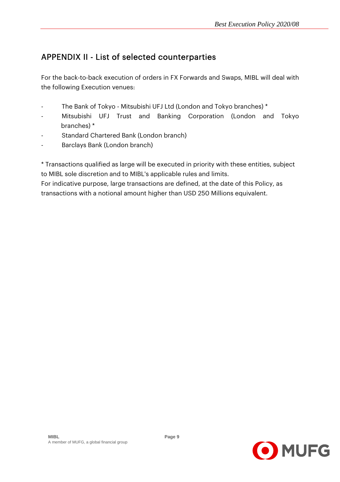## APPENDIX II - List of selected counterparties

For the back-to-back execution of orders in FX Forwards and Swaps, MIBL will deal with the following Execution venues:

- The Bank of Tokyo Mitsubishi UFJ Ltd (London and Tokyo branches) \*
- Mitsubishi UFJ Trust and Banking Corporation (London and Tokyo branches) \*
- Standard Chartered Bank (London branch)
- Barclays Bank (London branch)

\* Transactions qualified as large will be executed in priority with these entities, subject to MIBL sole discretion and to MIBL's applicable rules and limits.

For indicative purpose, large transactions are defined, at the date of this Policy, as transactions with a notional amount higher than USD 250 Millions equivalent.